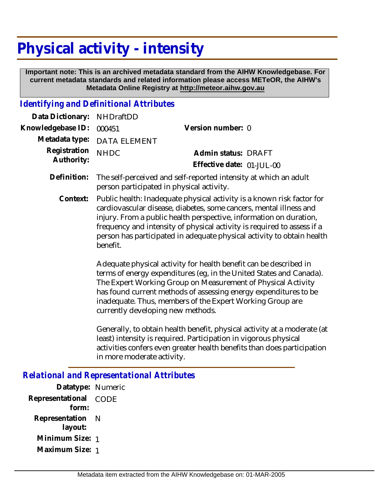# **Physical activity - intensity**

 **Important note: This is an archived metadata standard from the AIHW Knowledgebase. For current metadata standards and related information please access METeOR, the AIHW's Metadata Online Registry at http://meteor.aihw.gov.au**

#### *Identifying and Definitional Attributes*

| Data Dictionary: NHDraftDD      |                                                                        |                           |  |
|---------------------------------|------------------------------------------------------------------------|---------------------------|--|
| Knowledgebase ID: 000451        |                                                                        | Version number: 0         |  |
|                                 | Metadata type: DATA ELEMENT                                            |                           |  |
| Registration NHDC<br>Authority: |                                                                        | Admin status: DRAFT       |  |
|                                 |                                                                        | Effective date: 01-JUL-00 |  |
|                                 | Definition: The self perceived and self reported intensity at which an |                           |  |

- Definition: The self-perceived and self-reported intensity at which an adult person participated in physical activity.
	- Public health: Inadequate physical activity is a known risk factor for cardiovascular disease, diabetes, some cancers, mental illness and injury. From a public health perspective, information on duration, frequency and intensity of physical activity is required to assess if a person has participated in adequate physical activity to obtain health benefit. **Context:**

Adequate physical activity for health benefit can be described in terms of energy expenditures (eg, in the United States and Canada). The Expert Working Group on Measurement of Physical Activity has found current methods of assessing energy expenditures to be inadequate. Thus, members of the Expert Working Group are currently developing new methods.

Generally, to obtain health benefit, physical activity at a moderate (at least) intensity is required. Participation in vigorous physical activities confers even greater health benefits than does participation in more moderate activity.

### *Relational and Representational Attributes*

**Datatype:** Numeric **Representational** CODE  **form: Representation** N  **layout: Minimum Size:** 1 **Maximum Size:** 1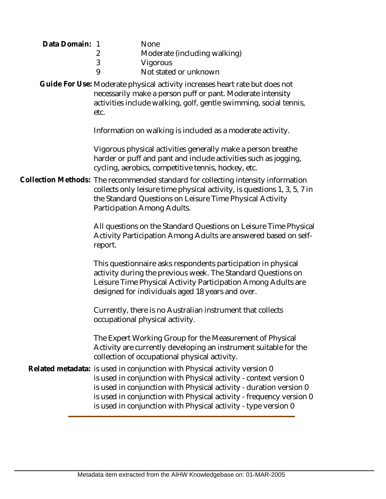| Data Domain: 1 | 2<br>3<br>9                                                                                                                                                                                                                                              | <b>None</b><br>Moderate (including walking)<br>Vigorous<br>Not stated or unknown                                                                                                                                                                                                                                                                              |  |  |
|----------------|----------------------------------------------------------------------------------------------------------------------------------------------------------------------------------------------------------------------------------------------------------|---------------------------------------------------------------------------------------------------------------------------------------------------------------------------------------------------------------------------------------------------------------------------------------------------------------------------------------------------------------|--|--|
|                | Guide For Use: Moderate physical activity increases heart rate but does not<br>necessarily make a person puff or pant. Moderate intensity<br>activities include walking, golf, gentle swimming, social tennis,<br>etc.                                   |                                                                                                                                                                                                                                                                                                                                                               |  |  |
|                |                                                                                                                                                                                                                                                          | Information on walking is included as a moderate activity.                                                                                                                                                                                                                                                                                                    |  |  |
|                | Vigorous physical activities generally make a person breathe<br>harder or puff and pant and include activities such as jogging,<br>cycling, aerobics, competitive tennis, hockey, etc.                                                                   |                                                                                                                                                                                                                                                                                                                                                               |  |  |
|                | Collection Methods: The recommended standard for collecting intensity information<br>collects only leisure time physical activity, is questions 1, 3, 5, 7 in<br>the Standard Questions on Leisure Time Physical Activity<br>Participation Among Adults. |                                                                                                                                                                                                                                                                                                                                                               |  |  |
|                | report.                                                                                                                                                                                                                                                  | All questions on the Standard Questions on Leisure Time Physical<br>Activity Participation Among Adults are answered based on self-                                                                                                                                                                                                                           |  |  |
|                |                                                                                                                                                                                                                                                          | This questionnaire asks respondents participation in physical<br>activity during the previous week. The Standard Questions on<br>Leisure Time Physical Activity Participation Among Adults are<br>designed for individuals aged 18 years and over.                                                                                                            |  |  |
|                |                                                                                                                                                                                                                                                          | Currently, there is no Australian instrument that collects<br>occupational physical activity.                                                                                                                                                                                                                                                                 |  |  |
|                |                                                                                                                                                                                                                                                          | The Expert Working Group for the Measurement of Physical<br>Activity are currently developing an instrument suitable for the<br>collection of occupational physical activity.                                                                                                                                                                                 |  |  |
|                |                                                                                                                                                                                                                                                          | Related metadata: is used in conjunction with Physical activity version 0<br>is used in conjunction with Physical activity - context version 0<br>is used in conjunction with Physical activity - duration version 0<br>is used in conjunction with Physical activity - frequency version 0<br>is used in conjunction with Physical activity - type version 0 |  |  |